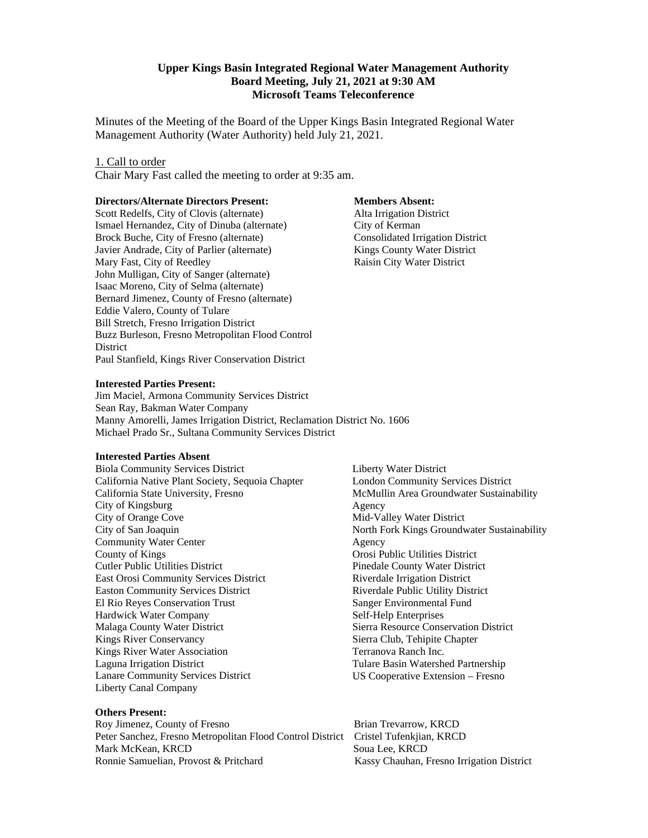## **Upper Kings Basin Integrated Regional Water Management Authority Board Meeting, July 21, 2021 at 9:30 AM Microsoft Teams Teleconference**

Minutes of the Meeting of the Board of the Upper Kings Basin Integrated Regional Water Management Authority (Water Authority) held July 21, 2021.

### 1. Call to order

Chair Mary Fast called the meeting to order at 9:35 am.

#### **Directors/Alternate Directors Present:**

Scott Redelfs, City of Clovis (alternate) Ismael Hernandez, City of Dinuba (alternate) Brock Buche, City of Fresno (alternate) Javier Andrade, City of Parlier (alternate) Mary Fast, City of Reedley John Mulligan, City of Sanger (alternate) Isaac Moreno, City of Selma (alternate) Bernard Jimenez, County of Fresno (alternate) Eddie Valero, County of Tulare Bill Stretch, Fresno Irrigation District Buzz Burleson, Fresno Metropolitan Flood Control **District** Paul Stanfield, Kings River Conservation District

#### **Members Absent:**

 Alta Irrigation District City of Kerman Consolidated Irrigation District Kings County Water District Raisin City Water District

#### **Interested Parties Present:**

Jim Maciel, Armona Community Services District Sean Ray, Bakman Water Company Manny Amorelli, James Irrigation District, Reclamation District No. 1606 Michael Prado Sr., Sultana Community Services District

## **Interested Parties Absent**

Biola Community Services District California Native Plant Society, Sequoia Chapter California State University, Fresno City of Kingsburg City of Orange Cove City of San Joaquin Community Water Center County of Kings Cutler Public Utilities District East Orosi Community Services District Easton Community Services District El Rio Reyes Conservation Trust Hardwick Water Company Malaga County Water District Kings River Conservancy Kings River Water Association Laguna Irrigation District Lanare Community Services District Liberty Canal Company

## **Others Present:**

Roy Jimenez, County of Fresno Brian Trevarrow, KRCD Peter Sanchez, Fresno Metropolitan Flood Control District Cristel Tufenkjian, KRCD Mark McKean, KRCD Soua Lee, KRCD Ronnie Samuelian, Provost & Pritchard Kassy Chauhan, Fresno Irrigation District

Liberty Water District London Community Services District McMullin Area Groundwater Sustainability Agency Mid-Valley Water District North Fork Kings Groundwater Sustainability Agency Orosi Public Utilities District Pinedale County Water District Riverdale Irrigation District Riverdale Public Utility District Sanger Environmental Fund Self-Help Enterprises Sierra Resource Conservation District Sierra Club, Tehipite Chapter Terranova Ranch Inc. Tulare Basin Watershed Partnership US Cooperative Extension – Fresno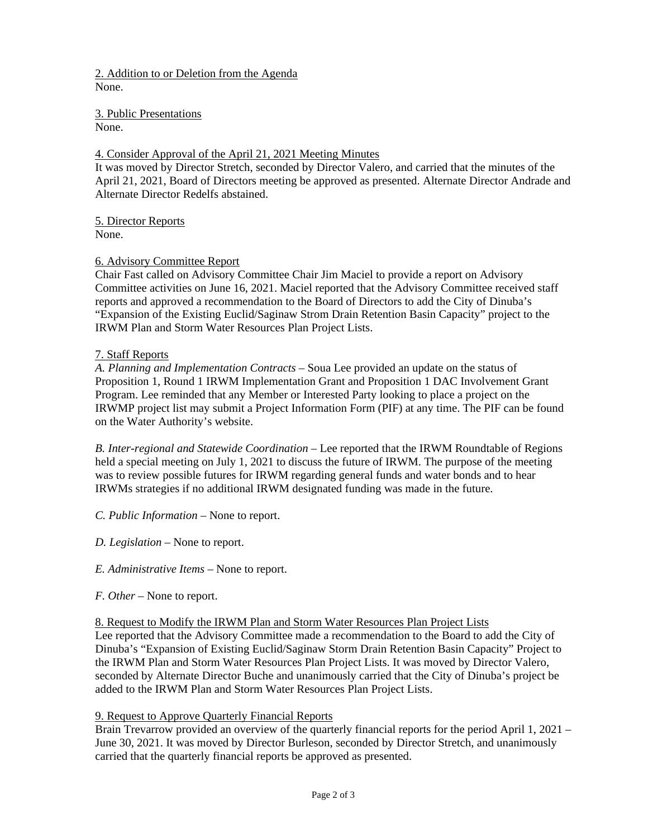2. Addition to or Deletion from the Agenda None.

3. Public Presentations None.

# 4. Consider Approval of the April 21, 2021 Meeting Minutes

It was moved by Director Stretch, seconded by Director Valero, and carried that the minutes of the April 21, 2021, Board of Directors meeting be approved as presented. Alternate Director Andrade and Alternate Director Redelfs abstained.

5. Director Reports None.

## 6. Advisory Committee Report

Chair Fast called on Advisory Committee Chair Jim Maciel to provide a report on Advisory Committee activities on June 16, 2021. Maciel reported that the Advisory Committee received staff reports and approved a recommendation to the Board of Directors to add the City of Dinuba's "Expansion of the Existing Euclid/Saginaw Strom Drain Retention Basin Capacity" project to the IRWM Plan and Storm Water Resources Plan Project Lists.

## 7. Staff Reports

*A. Planning and Implementation Contracts* – Soua Lee provided an update on the status of Proposition 1, Round 1 IRWM Implementation Grant and Proposition 1 DAC Involvement Grant Program. Lee reminded that any Member or Interested Party looking to place a project on the IRWMP project list may submit a Project Information Form (PIF) at any time. The PIF can be found on the Water Authority's website.

*B. Inter-regional and Statewide Coordination* – Lee reported that the IRWM Roundtable of Regions held a special meeting on July 1, 2021 to discuss the future of IRWM. The purpose of the meeting was to review possible futures for IRWM regarding general funds and water bonds and to hear IRWMs strategies if no additional IRWM designated funding was made in the future.

- *C. Public Information –* None to report.
- *D. Legislation –* None to report.
- *E. Administrative Items –* None to report.
- *F. Other –* None to report.

## 8. Request to Modify the IRWM Plan and Storm Water Resources Plan Project Lists

Lee reported that the Advisory Committee made a recommendation to the Board to add the City of Dinuba's "Expansion of Existing Euclid/Saginaw Storm Drain Retention Basin Capacity" Project to the IRWM Plan and Storm Water Resources Plan Project Lists. It was moved by Director Valero, seconded by Alternate Director Buche and unanimously carried that the City of Dinuba's project be added to the IRWM Plan and Storm Water Resources Plan Project Lists.

## 9. Request to Approve Quarterly Financial Reports

Brain Trevarrow provided an overview of the quarterly financial reports for the period April 1, 2021 – June 30, 2021. It was moved by Director Burleson, seconded by Director Stretch, and unanimously carried that the quarterly financial reports be approved as presented.